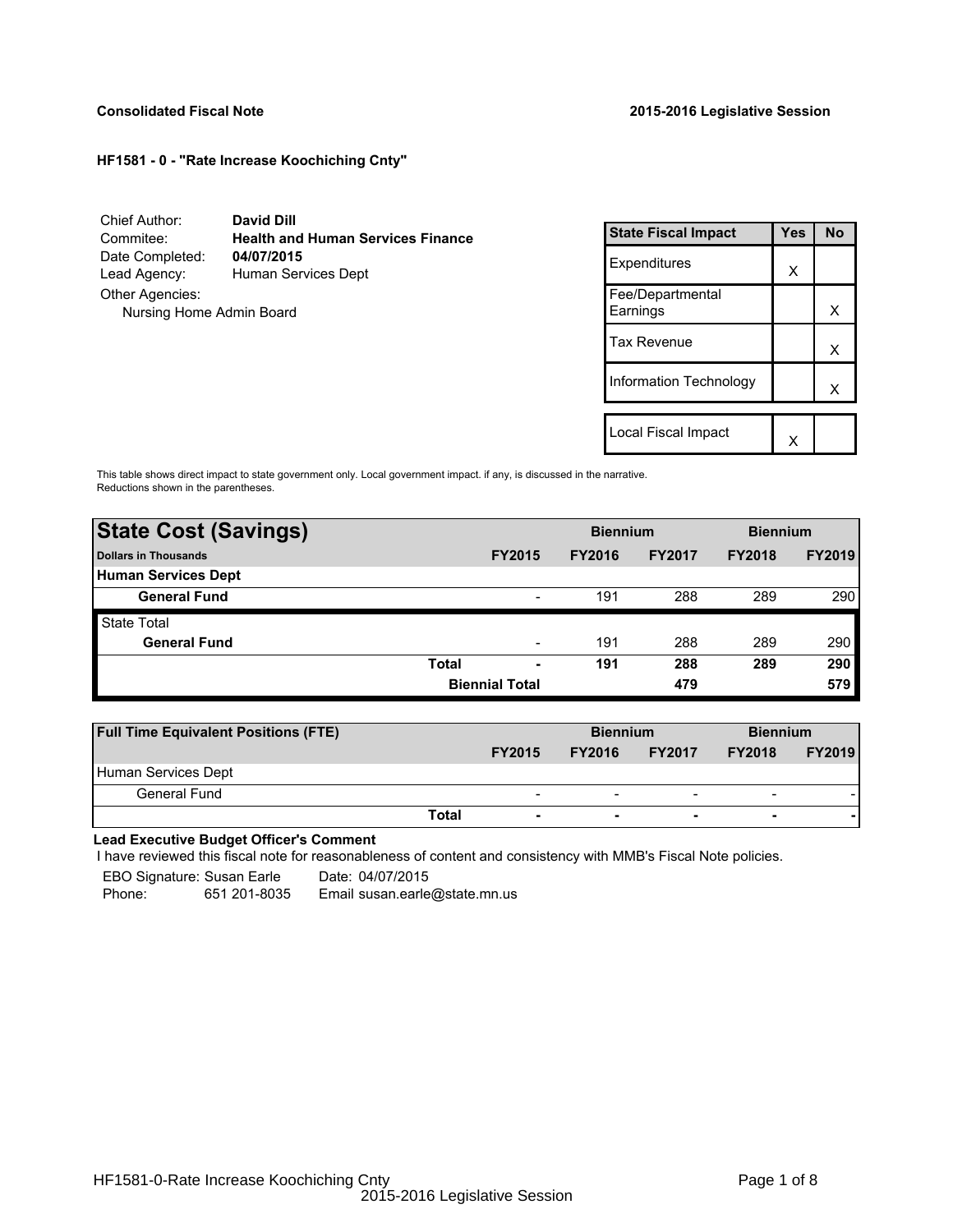## **HF1581 - 0 - "Rate Increase Koochiching Cnty"**

Chief Author: **David Dill** Commitee: **Health and Human Services Finance** Date Completed: Lead Agency: Human Services Dept Other Agencies: Nursing Home Admin Board

| <b>State Fiscal Impact</b>   | <b>Yes</b> | No |
|------------------------------|------------|----|
| Expenditures                 | x          |    |
| Fee/Departmental<br>Earnings |            | x  |
| <b>Tax Revenue</b>           |            | x  |
| Information Technology       |            | x  |
| Local Fiscal Impact          |            |    |
|                              |            |    |

This table shows direct impact to state government only. Local government impact. if any, is discussed in the narrative. Reductions shown in the parentheses.

| <b>State Cost (Savings)</b> |              |                          | <b>Biennium</b><br><b>Biennium</b> |               |               |               |
|-----------------------------|--------------|--------------------------|------------------------------------|---------------|---------------|---------------|
| Dollars in Thousands        |              | <b>FY2015</b>            | <b>FY2016</b>                      | <b>FY2017</b> | <b>FY2018</b> | <b>FY2019</b> |
| <b>Human Services Dept</b>  |              |                          |                                    |               |               |               |
| <b>General Fund</b>         |              | $\overline{\phantom{a}}$ | 191                                | 288           | 289           | 290           |
| <b>State Total</b>          |              |                          |                                    |               |               |               |
| <b>General Fund</b>         |              | $\overline{\phantom{0}}$ | 191                                | 288           | 289           | 290           |
|                             | <b>Total</b> | ٠                        | 191                                | 288           | 289           | 290           |
|                             |              | <b>Biennial Total</b>    |                                    | 479           |               | 579           |

| <b>Full Time Equivalent Positions (FTE)</b> |                          | <b>Biennium</b> |                          |                          | <b>Biennium</b> |  |
|---------------------------------------------|--------------------------|-----------------|--------------------------|--------------------------|-----------------|--|
|                                             | <b>FY2015</b>            | <b>FY2016</b>   | <b>FY2017</b>            | <b>FY2018</b>            | <b>FY2019</b>   |  |
| Human Services Dept                         |                          |                 |                          |                          |                 |  |
| <b>General Fund</b>                         | $\overline{\phantom{0}}$ | -               | $\overline{\phantom{0}}$ | $\overline{\phantom{0}}$ |                 |  |
| Total                                       | $\overline{\phantom{a}}$ | ۰               | $\overline{\phantom{0}}$ | $\overline{\phantom{0}}$ |                 |  |

**Lead Executive Budget Officer's Comment**

-

I have reviewed this fiscal note for reasonableness of content and consistency with MMB's Fiscal Note policies.

EBO Signature: Susan Earle Date: 04/07/2015 Phone: 651 201-8035 Email susan.earle@state.mn.us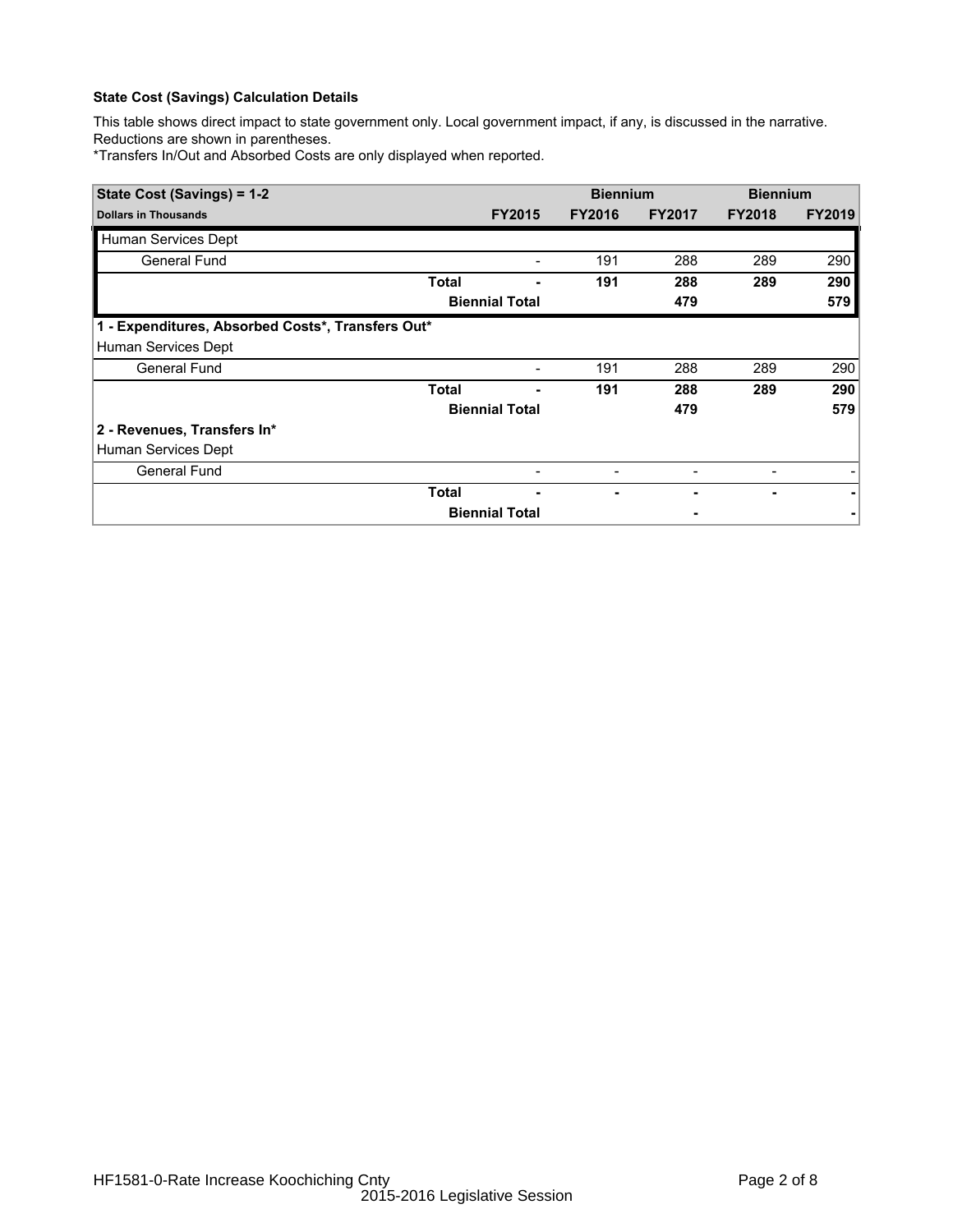# **State Cost (Savings) Calculation Details**

This table shows direct impact to state government only. Local government impact, if any, is discussed in the narrative. Reductions are shown in parentheses.

\*Transfers In/Out and Absorbed Costs are only displayed when reported.

| State Cost (Savings) = 1-2                        |              |                          | <b>Biennium</b> |               | <b>Biennium</b> |               |  |
|---------------------------------------------------|--------------|--------------------------|-----------------|---------------|-----------------|---------------|--|
| <b>Dollars in Thousands</b>                       |              | <b>FY2015</b>            | <b>FY2016</b>   | <b>FY2017</b> | <b>FY2018</b>   | <b>FY2019</b> |  |
| Human Services Dept                               |              |                          |                 |               |                 |               |  |
| General Fund                                      |              |                          | 191             | 288           | 289             | 290           |  |
|                                                   | Total        |                          | 191             | 288           | 289             | 290           |  |
|                                                   |              | <b>Biennial Total</b>    |                 | 479           |                 | 579           |  |
| 1 - Expenditures, Absorbed Costs*, Transfers Out* |              |                          |                 |               |                 |               |  |
| Human Services Dept                               |              |                          |                 |               |                 |               |  |
| <b>General Fund</b>                               |              | $\overline{\phantom{a}}$ | 191             | 288           | 289             | 290           |  |
|                                                   | <b>Total</b> |                          | 191             | 288           | 289             | 290           |  |
|                                                   |              | <b>Biennial Total</b>    |                 | 479           |                 | 579           |  |
| 2 - Revenues, Transfers In*                       |              |                          |                 |               |                 |               |  |
| Human Services Dept                               |              |                          |                 |               |                 |               |  |
| <b>General Fund</b>                               |              |                          |                 |               |                 |               |  |
|                                                   | Total        |                          |                 |               |                 |               |  |
|                                                   |              | <b>Biennial Total</b>    |                 |               |                 |               |  |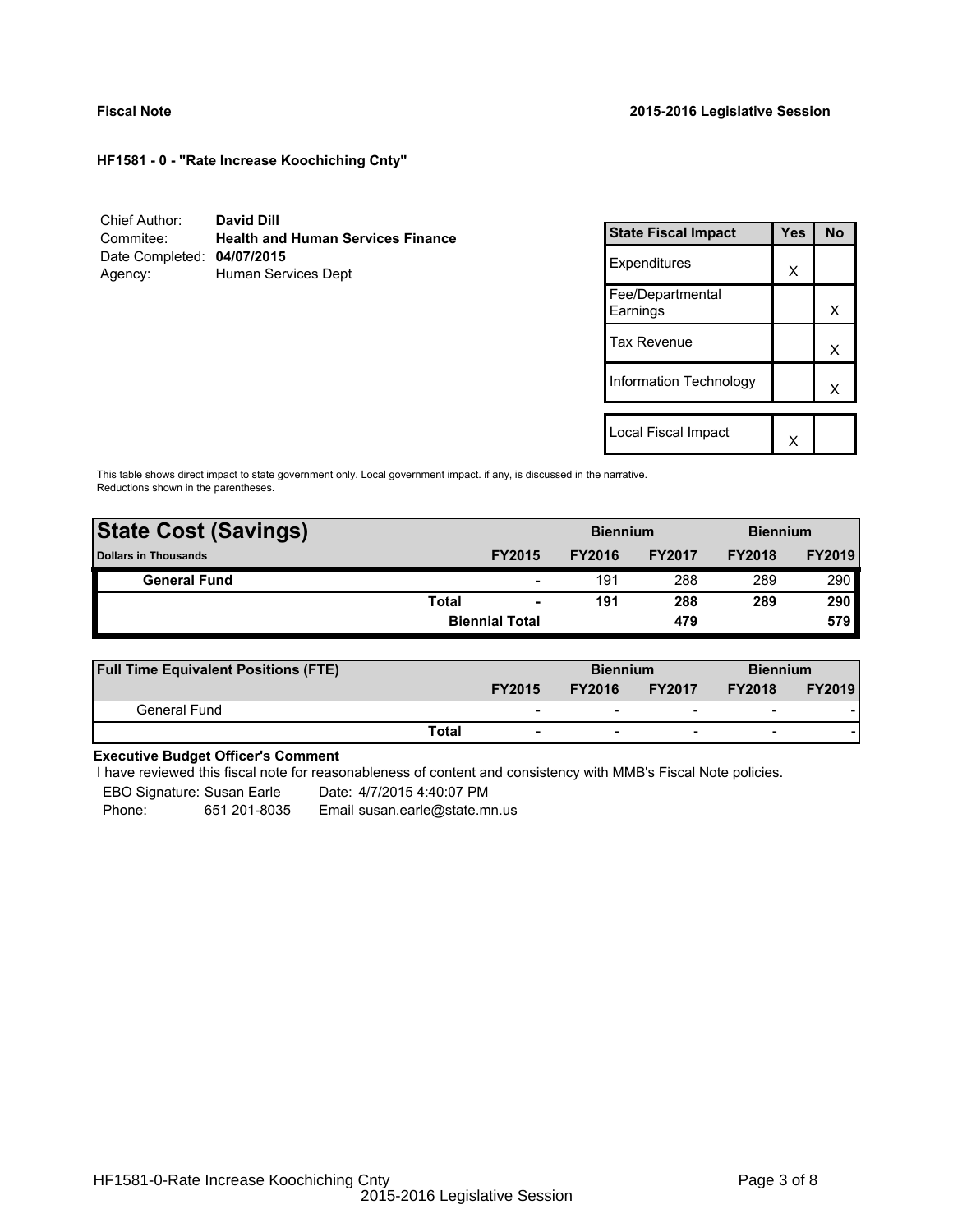**HF1581 - 0 - "Rate Increase Koochiching Cnty"**

| Chief Author:              | <b>David Dill</b>                        |
|----------------------------|------------------------------------------|
| Commitee:                  | <b>Health and Human Services Finance</b> |
| Date Completed: 04/07/2015 |                                          |
| Agency:                    | Human Services Dept                      |

| <b>State Fiscal Impact</b>   | Yes | N٥ |
|------------------------------|-----|----|
| Expenditures                 | x   |    |
| Fee/Departmental<br>Earnings |     | x  |
| <b>Tax Revenue</b>           |     | x  |
| Information Technology       |     | x  |
| Local Fiscal Impact          |     |    |
|                              |     |    |

This table shows direct impact to state government only. Local government impact. if any, is discussed in the narrative. Reductions shown in the parentheses.

| <b>State Cost (Savings)</b> |                       |                          | <b>Biennium</b><br><b>Biennium</b> |               |               |               |
|-----------------------------|-----------------------|--------------------------|------------------------------------|---------------|---------------|---------------|
| <b>Dollars in Thousands</b> |                       | <b>FY2015</b>            | <b>FY2016</b>                      | <b>FY2017</b> | <b>FY2018</b> | <b>FY2019</b> |
| <b>General Fund</b>         |                       | $\overline{\phantom{a}}$ | 191                                | 288           | 289           | 290           |
|                             | <b>Total</b>          | $\blacksquare$           | 191                                | 288           | 289           | 290           |
|                             | <b>Biennial Total</b> |                          |                                    | 479           |               | 579           |
|                             |                       |                          |                                    |               |               |               |

| <b>Full Time Equivalent Positions (FTE)</b> |                          | <b>Biennium</b> |                          | <b>Biennium</b>          |               |
|---------------------------------------------|--------------------------|-----------------|--------------------------|--------------------------|---------------|
|                                             | <b>FY2015</b>            | <b>FY2016</b>   | <b>FY2017</b>            | <b>FY2018</b>            | <b>FY2019</b> |
| General Fund                                | $\overline{\phantom{0}}$ | -               | $\overline{\phantom{0}}$ | $\overline{\phantom{0}}$ |               |
|                                             | Total                    |                 |                          | -                        |               |

## **Executive Budget Officer's Comment**

I have reviewed this fiscal note for reasonableness of content and consistency with MMB's Fiscal Note policies.

EBO Signature: Susan Earle Date: 4/7/2015 4:40:07 PM

Phone: 651 201-8035 Email susan.earle@state.mn.us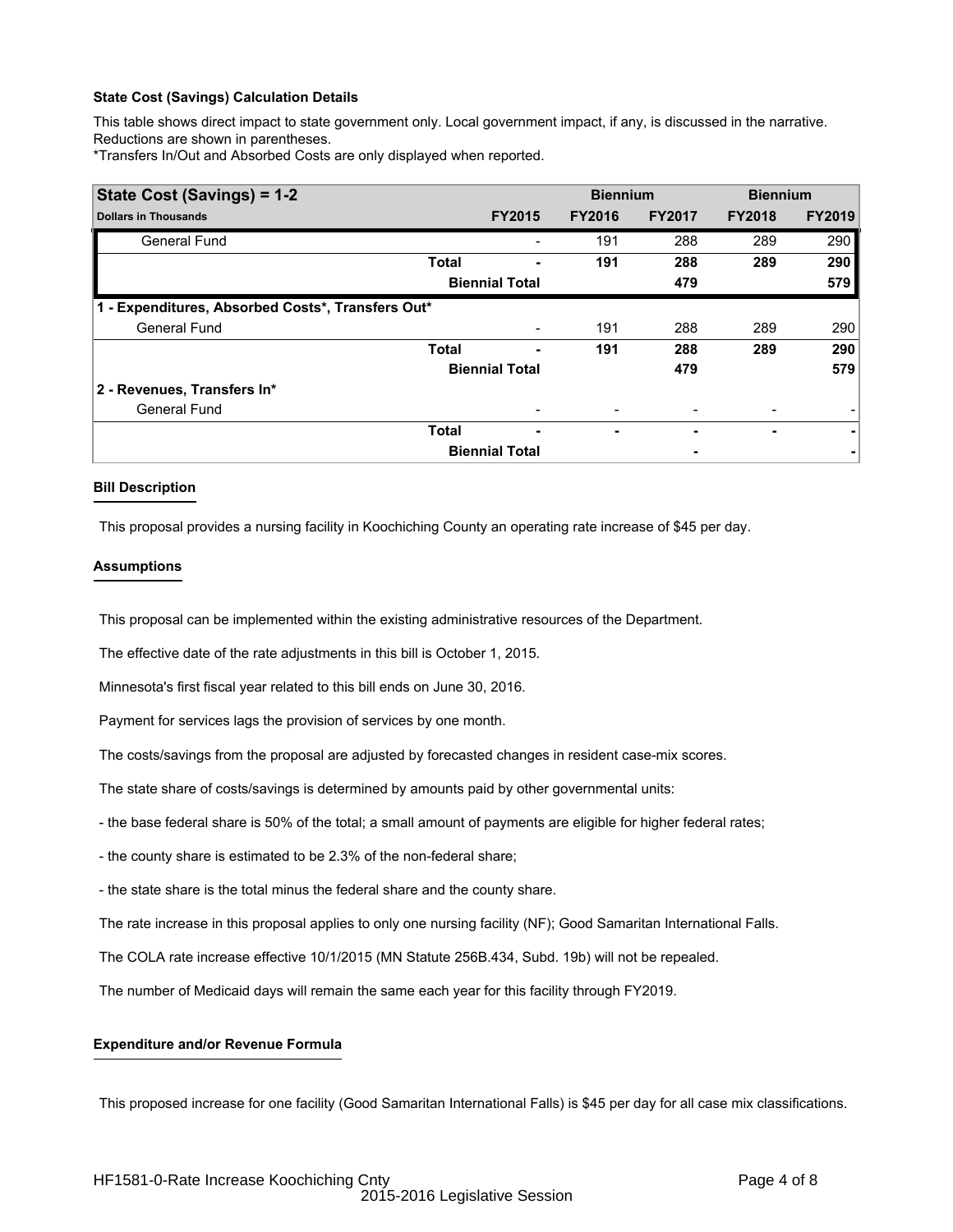## **State Cost (Savings) Calculation Details**

This table shows direct impact to state government only. Local government impact, if any, is discussed in the narrative. Reductions are shown in parentheses.

\*Transfers In/Out and Absorbed Costs are only displayed when reported.

| State Cost (Savings) = 1-2                        |              |                       | <b>Biennium</b> |               | <b>Biennium</b> |               |
|---------------------------------------------------|--------------|-----------------------|-----------------|---------------|-----------------|---------------|
| <b>Dollars in Thousands</b>                       |              | <b>FY2015</b>         | <b>FY2016</b>   | <b>FY2017</b> | <b>FY2018</b>   | <b>FY2019</b> |
| <b>General Fund</b>                               |              |                       | 191             | 288           | 289             | 290           |
|                                                   | <b>Total</b> |                       | 191             | 288           | 289             | 290           |
|                                                   |              | <b>Biennial Total</b> |                 | 479           |                 | 579           |
| 1 - Expenditures, Absorbed Costs*, Transfers Out* |              |                       |                 |               |                 |               |
| <b>General Fund</b>                               |              |                       | 191             | 288           | 289             | 290           |
|                                                   | <b>Total</b> |                       | 191             | 288           | 289             | 290           |
|                                                   |              | <b>Biennial Total</b> |                 | 479           |                 | 579           |
| 2 - Revenues, Transfers In*                       |              |                       |                 |               |                 |               |
| <b>General Fund</b>                               |              |                       |                 | -             |                 |               |
|                                                   | <b>Total</b> |                       | ۰               |               | -               |               |
|                                                   |              | <b>Biennial Total</b> |                 | ۰             |                 |               |

## **Bill Description**

This proposal provides a nursing facility in Koochiching County an operating rate increase of \$45 per day.

## **Assumptions**

This proposal can be implemented within the existing administrative resources of the Department.

The effective date of the rate adjustments in this bill is October 1, 2015.

Minnesota's first fiscal year related to this bill ends on June 30, 2016.

Payment for services lags the provision of services by one month.

The costs/savings from the proposal are adjusted by forecasted changes in resident case-mix scores.

The state share of costs/savings is determined by amounts paid by other governmental units:

- the base federal share is 50% of the total; a small amount of payments are eligible for higher federal rates;

- the county share is estimated to be 2.3% of the non-federal share;

- the state share is the total minus the federal share and the county share.

The rate increase in this proposal applies to only one nursing facility (NF); Good Samaritan International Falls.

The COLA rate increase effective 10/1/2015 (MN Statute 256B.434, Subd. 19b) will not be repealed.

The number of Medicaid days will remain the same each year for this facility through FY2019.

## **Expenditure and/or Revenue Formula**

This proposed increase for one facility (Good Samaritan International Falls) is \$45 per day for all case mix classifications.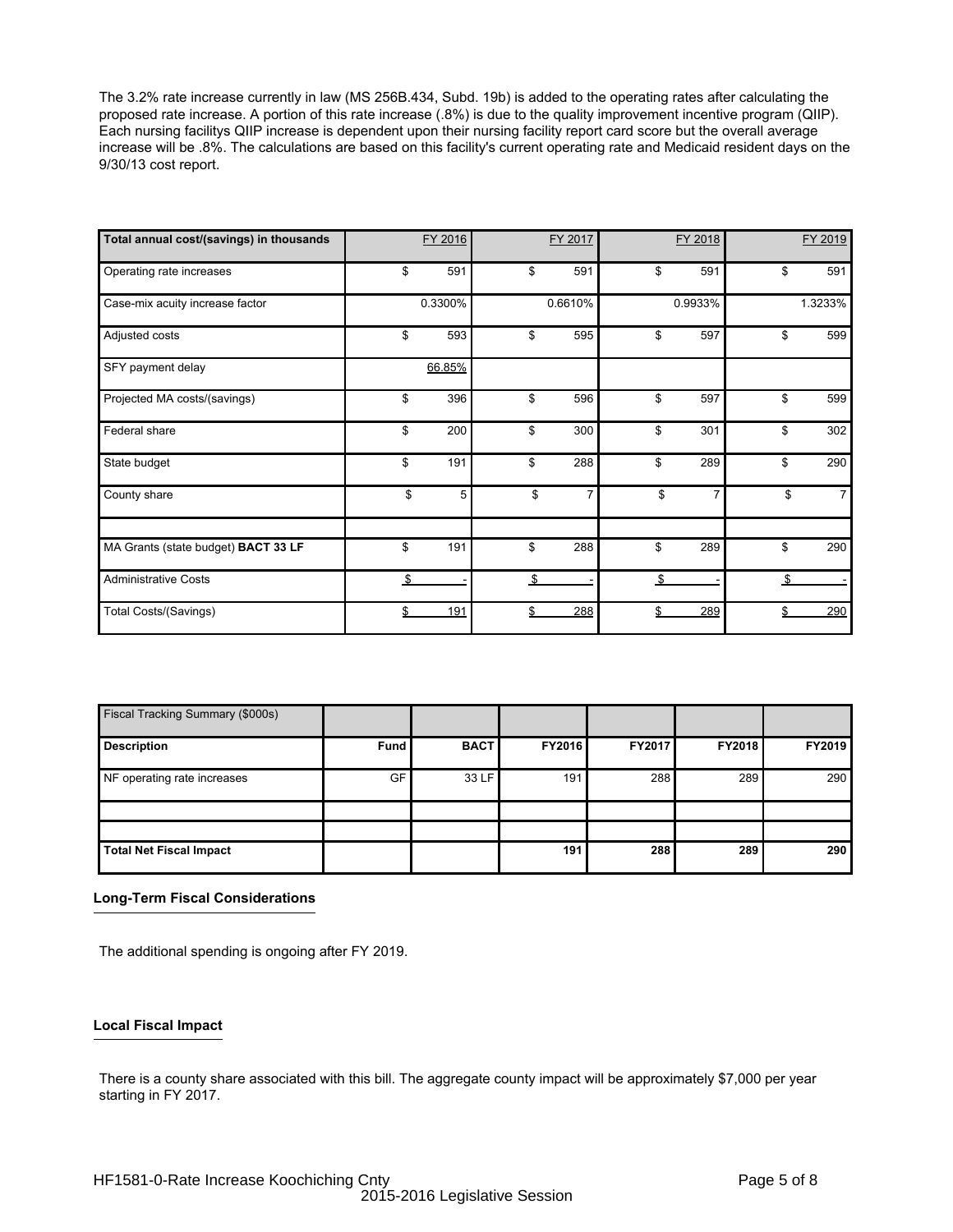The 3.2% rate increase currently in law (MS 256B.434, Subd. 19b) is added to the operating rates after calculating the proposed rate increase. A portion of this rate increase (.8%) is due to the quality improvement incentive program (QIIP). Each nursing facilitys QIIP increase is dependent upon their nursing facility report card score but the overall average increase will be .8%. The calculations are based on this facility's current operating rate and Medicaid resident days on the 9/30/13 cost report.

| Total annual cost/(savings) in thousands | FY 2016   | FY 2017   | FY 2018   | FY 2019              |
|------------------------------------------|-----------|-----------|-----------|----------------------|
| Operating rate increases                 | \$<br>591 | \$<br>591 | \$<br>591 | \$<br>591            |
| Case-mix acuity increase factor          | 0.3300%   | 0.6610%   | 0.9933%   | 1.3233%              |
| Adjusted costs                           | \$<br>593 | \$<br>595 | \$<br>597 | \$<br>599            |
| SFY payment delay                        | 66.85%    |           |           |                      |
| Projected MA costs/(savings)             | \$<br>396 | \$<br>596 | \$<br>597 | \$<br>599            |
| Federal share                            | \$<br>200 | \$<br>300 | \$<br>301 | \$<br>302            |
| State budget                             | \$<br>191 | \$<br>288 | \$<br>289 | \$<br>290            |
| County share                             | \$<br>5   | \$<br>7   | \$        | \$<br>$\overline{7}$ |
| MA Grants (state budget) BACT 33 LF      | \$<br>191 | \$<br>288 | \$<br>289 | \$<br>290            |
| <b>Administrative Costs</b>              | \$        | \$        | \$        | \$                   |
| <b>Total Costs/(Savings)</b>             | \$<br>191 | \$<br>288 | \$<br>289 | \$<br>290            |

| Fiscal Tracking Summary (\$000s) |             |             |               |        |               |        |
|----------------------------------|-------------|-------------|---------------|--------|---------------|--------|
| <b>Description</b>               | <b>Fund</b> | <b>BACT</b> | <b>FY2016</b> | FY2017 | <b>FY2018</b> | FY2019 |
| NF operating rate increases      | GF          | 33 LF       | 191           | 288    | 289           | 290    |
|                                  |             |             |               |        |               |        |
| <b>Total Net Fiscal Impact</b>   |             |             | 191           | 288    | 289           | 290    |

## **Long-Term Fiscal Considerations**

The additional spending is ongoing after FY 2019.

## **Local Fiscal Impact**

There is a county share associated with this bill. The aggregate county impact will be approximately \$7,000 per year starting in FY 2017.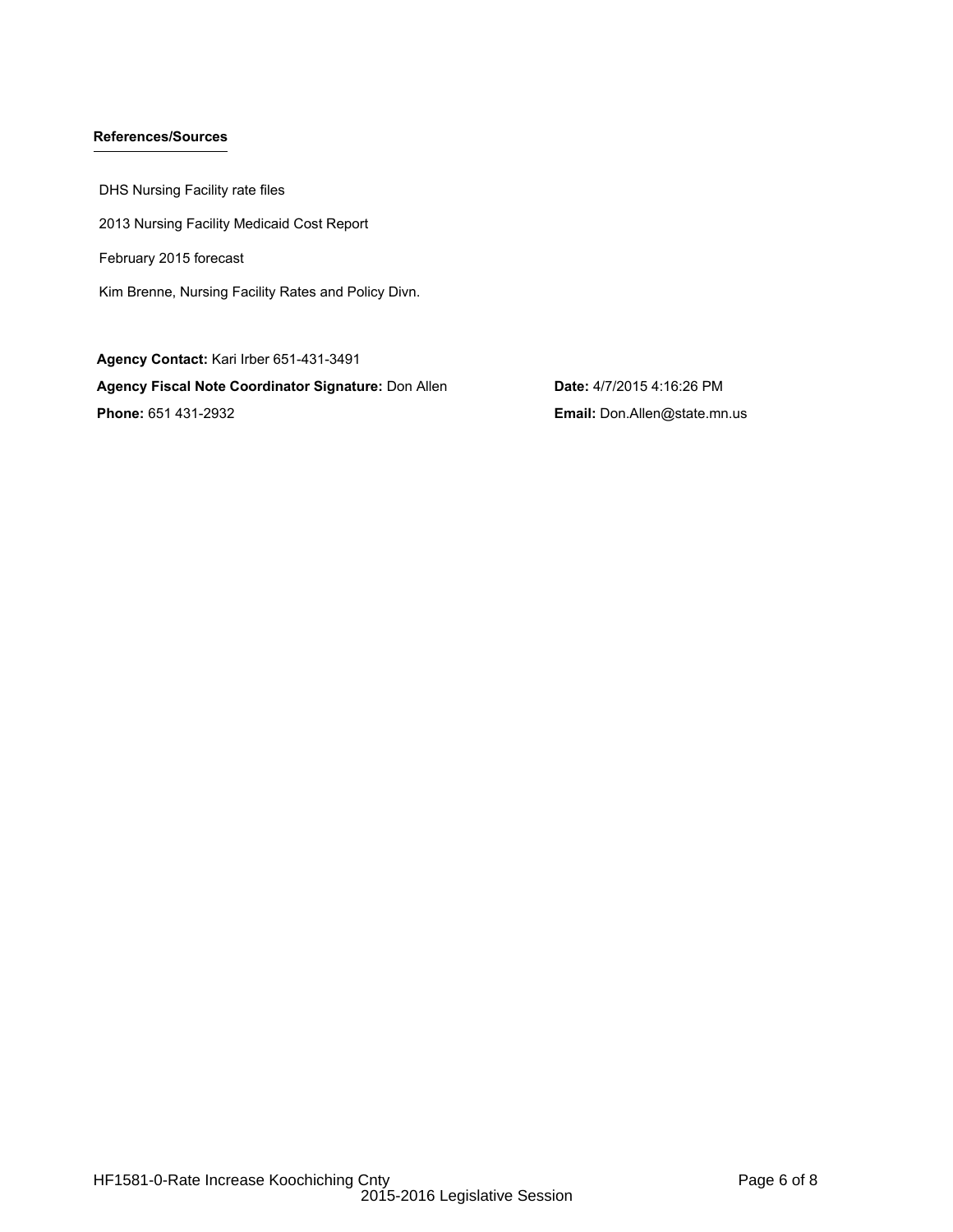# **References/Sources**

DHS Nursing Facility rate files 2013 Nursing Facility Medicaid Cost Report February 2015 forecast Kim Brenne, Nursing Facility Rates and Policy Divn.

**Agency Contact:** Kari Irber 651-431-3491 **Agency Fiscal Note Coordinator Signature:** Don Allen **Date:** 4/7/2015 4:16:26 PM **Phone:** 651 431-2932 **Email:** Don.Allen@state.mn.us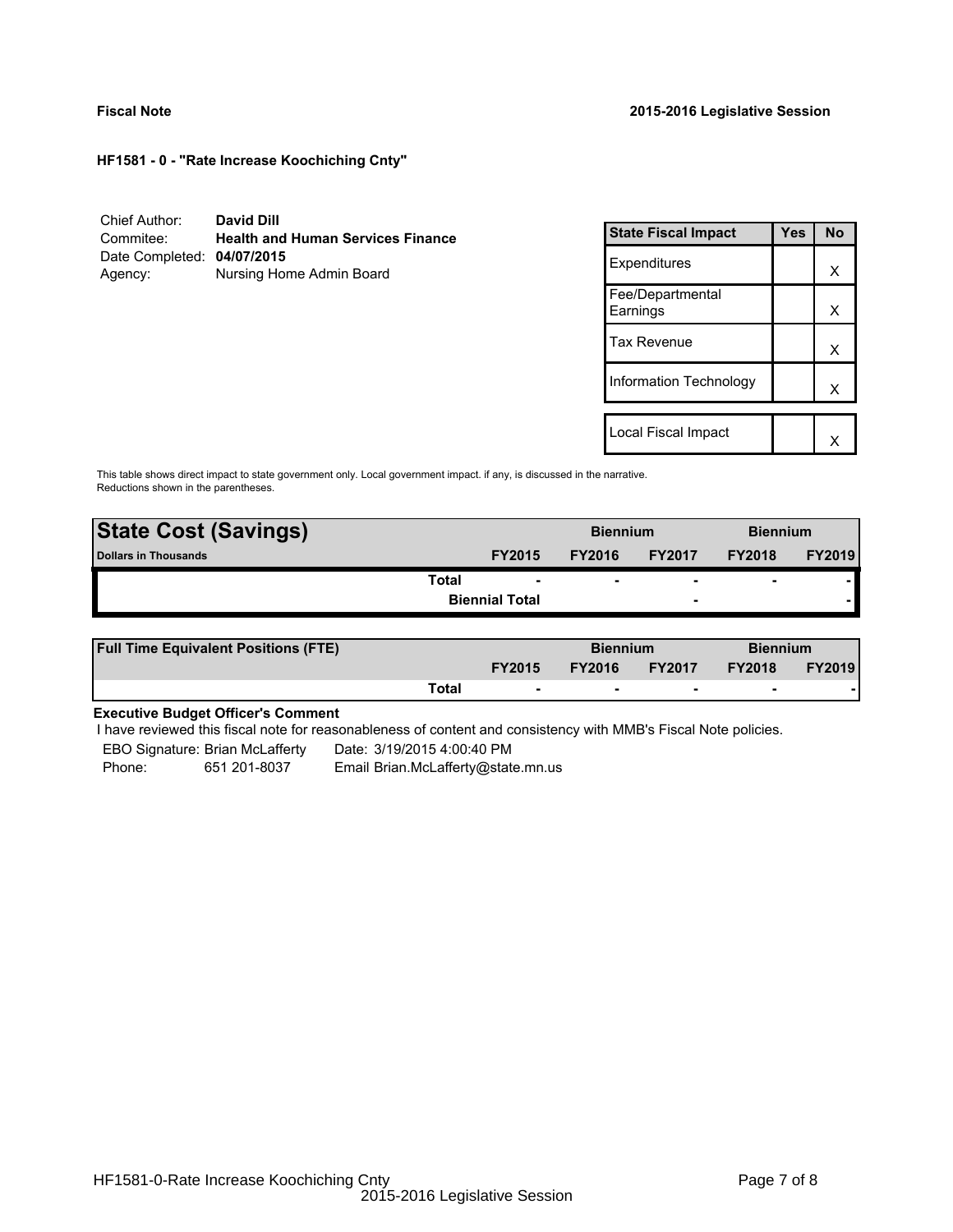**HF1581 - 0 - "Rate Increase Koochiching Cnty"**

| Chief Author:              | David Dill                               |
|----------------------------|------------------------------------------|
| Commitee:                  | <b>Health and Human Services Finance</b> |
| Date Completed: 04/07/2015 |                                          |
| Agency:                    | Nursing Home Admin Board                 |

| <b>State Fiscal Impact</b>   | Yes | <b>No</b> |
|------------------------------|-----|-----------|
| Expenditures                 |     | x         |
| Fee/Departmental<br>Earnings |     | x         |
| Tax Revenue                  |     | x         |
| Information Technology       |     | x         |
|                              |     |           |
| Local Fiscal Impact          |     |           |

This table shows direct impact to state government only. Local government impact. if any, is discussed in the narrative. Reductions shown in the parentheses.

| <b>State Cost (Savings)</b> |                       | <b>Biennium</b> |                          | <b>Biennium</b>          |               |
|-----------------------------|-----------------------|-----------------|--------------------------|--------------------------|---------------|
| <b>Dollars in Thousands</b> | <b>FY2015</b>         | <b>FY2016</b>   | <b>FY2017</b>            | <b>FY2018</b>            | <b>FY2019</b> |
| Total                       | ۰                     | ۰               | $\overline{\phantom{0}}$ | $\overline{\phantom{0}}$ |               |
|                             | <b>Biennial Total</b> |                 | $\overline{\phantom{a}}$ |                          |               |
|                             |                       |                 |                          |                          |               |

| <b>Full Time Equivalent Positions (FTE)</b> |       |                          | <b>Biennium</b> |                          | <b>Biennium</b> |               |
|---------------------------------------------|-------|--------------------------|-----------------|--------------------------|-----------------|---------------|
|                                             |       | <b>FY2015</b>            | <b>FY2016</b>   | <b>FY2017</b>            | <b>FY2018</b>   | <b>FY2019</b> |
|                                             | Total | $\overline{\phantom{a}}$ | $\sim$          | $\overline{\phantom{a}}$ | $\sim$          |               |

# **Executive Budget Officer's Comment**

I have reviewed this fiscal note for reasonableness of content and consistency with MMB's Fiscal Note policies.

EBO Signature: Brian McLafferty Date: 3/19/2015 4:00:40 PM Phone: 651 201-8037 Email Brian.McLafferty@state.mn.us